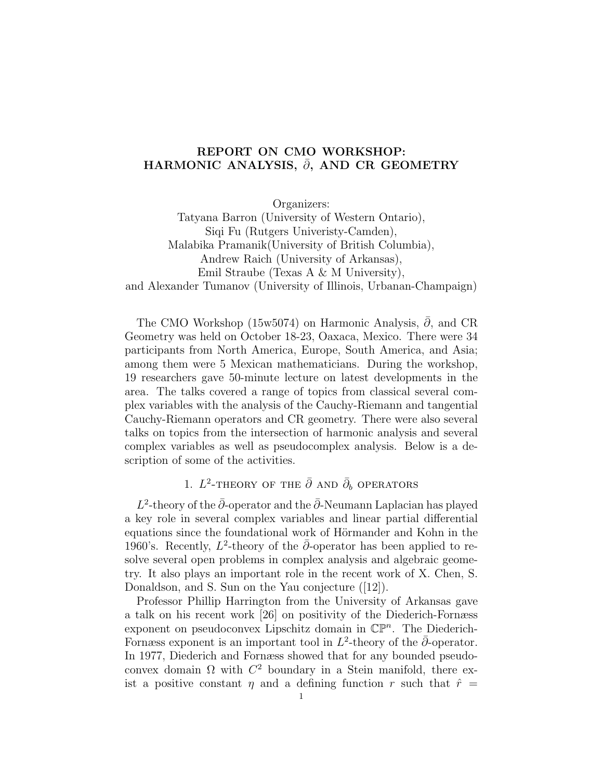## REPORT ON CMO WORKSHOP: HARMONIC ANALYSIS,  $\bar{\partial}$ , AND CR GEOMETRY

Organizers:

Tatyana Barron (University of Western Ontario), Siqi Fu (Rutgers Univeristy-Camden), Malabika Pramanik(University of British Columbia), Andrew Raich (University of Arkansas), Emil Straube (Texas A & M University), and Alexander Tumanov (University of Illinois, Urbanan-Champaign)

The CMO Workshop (15w5074) on Harmonic Analysis,  $\bar{\partial}$ , and CR Geometry was held on October 18-23, Oaxaca, Mexico. There were 34 participants from North America, Europe, South America, and Asia; among them were 5 Mexican mathematicians. During the workshop, 19 researchers gave 50-minute lecture on latest developments in the area. The talks covered a range of topics from classical several complex variables with the analysis of the Cauchy-Riemann and tangential Cauchy-Riemann operators and CR geometry. There were also several talks on topics from the intersection of harmonic analysis and several complex variables as well as pseudocomplex analysis. Below is a description of some of the activities.

# 1.  $L^2$ -theory of the  $\bar{\partial}$  and  $\bar{\partial}_b$  operators

L<sup>2</sup>-theory of the  $\bar{\partial}$ -operator and the  $\bar{\partial}$ -Neumann Laplacian has played a key role in several complex variables and linear partial differential equations since the foundational work of Hörmander and Kohn in the 1960's. Recently,  $L^2$ -theory of the  $\bar{\partial}$ -operator has been applied to resolve several open problems in complex analysis and algebraic geometry. It also plays an important role in the recent work of X. Chen, S. Donaldson, and S. Sun on the Yau conjecture ([12]).

Professor Phillip Harrington from the University of Arkansas gave a talk on his recent work [26] on positivity of the Diederich-Fornæss exponent on pseudoconvex Lipschitz domain in  $\mathbb{CP}^n$ . The Diederich-Fornæss exponent is an important tool in  $L^2$ -theory of the  $\bar{\partial}$ -operator. In 1977, Diederich and Fornæss showed that for any bounded pseudoconvex domain  $\Omega$  with  $C^2$  boundary in a Stein manifold, there exist a positive constant  $\eta$  and a defining function  $r$  such that  $\hat{r}$  =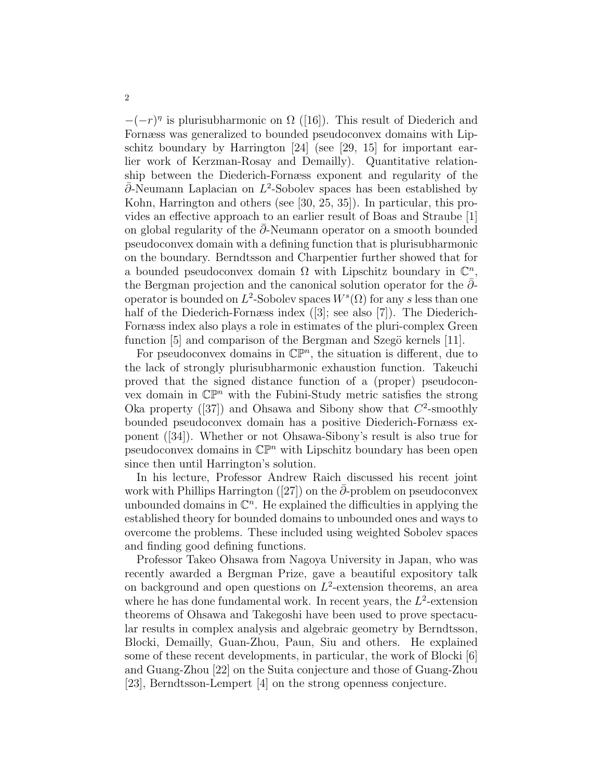$-(-r)^{\eta}$  is plurisubharmonic on  $\Omega$  ([16]). This result of Diederich and Fornæss was generalized to bounded pseudoconvex domains with Lipschitz boundary by Harrington [24] (see [29, 15] for important earlier work of Kerzman-Rosay and Demailly). Quantitative relationship between the Diederich-Fornæss exponent and regularity of the  $\overline{\partial}$ -Neumann Laplacian on L<sup>2</sup>-Sobolev spaces has been established by Kohn, Harrington and others (see [30, 25, 35]). In particular, this provides an effective approach to an earlier result of Boas and Straube [1] on global regularity of the  $\partial$ -Neumann operator on a smooth bounded pseudoconvex domain with a defining function that is plurisubharmonic on the boundary. Berndtsson and Charpentier further showed that for a bounded pseudoconvex domain  $\Omega$  with Lipschitz boundary in  $\mathbb{C}^n$ , the Bergman projection and the canonical solution operator for the  $\bar{\partial}$ operator is bounded on  $L^2$ -Sobolev spaces  $W^s(\Omega)$  for any s less than one half of the Diederich-Fornæss index ([3]; see also [7]). The Diederich-Fornæss index also plays a role in estimates of the pluri-complex Green function  $[5]$  and comparison of the Bergman and Szegö kernels  $[11]$ .

For pseudoconvex domains in  $\mathbb{CP}^n$ , the situation is different, due to the lack of strongly plurisubharmonic exhaustion function. Takeuchi proved that the signed distance function of a (proper) pseudoconvex domain in  $\mathbb{CP}^n$  with the Fubini-Study metric satisfies the strong Oka property  $(37)$  and Ohsawa and Sibony show that  $C^2$ -smoothly bounded pseudoconvex domain has a positive Diederich-Fornæss exponent ([34]). Whether or not Ohsawa-Sibony's result is also true for pseudoconvex domains in  $\mathbb{CP}^n$  with Lipschitz boundary has been open since then until Harrington's solution.

In his lecture, Professor Andrew Raich discussed his recent joint work with Phillips Harrington ( $|27|$ ) on the ∂-problem on pseudoconvex unbounded domains in  $\mathbb{C}^n$ . He explained the difficulties in applying the established theory for bounded domains to unbounded ones and ways to overcome the problems. These included using weighted Sobolev spaces and finding good defining functions.

Professor Takeo Ohsawa from Nagoya University in Japan, who was recently awarded a Bergman Prize, gave a beautiful expository talk on background and open questions on  $L^2$ -extension theorems, an area where he has done fundamental work. In recent years, the  $L^2$ -extension theorems of Ohsawa and Takegoshi have been used to prove spectacular results in complex analysis and algebraic geometry by Berndtsson, Blocki, Demailly, Guan-Zhou, Paun, Siu and others. He explained some of these recent developments, in particular, the work of Blocki [6] and Guang-Zhou [22] on the Suita conjecture and those of Guang-Zhou [23], Berndtsson-Lempert [4] on the strong openness conjecture.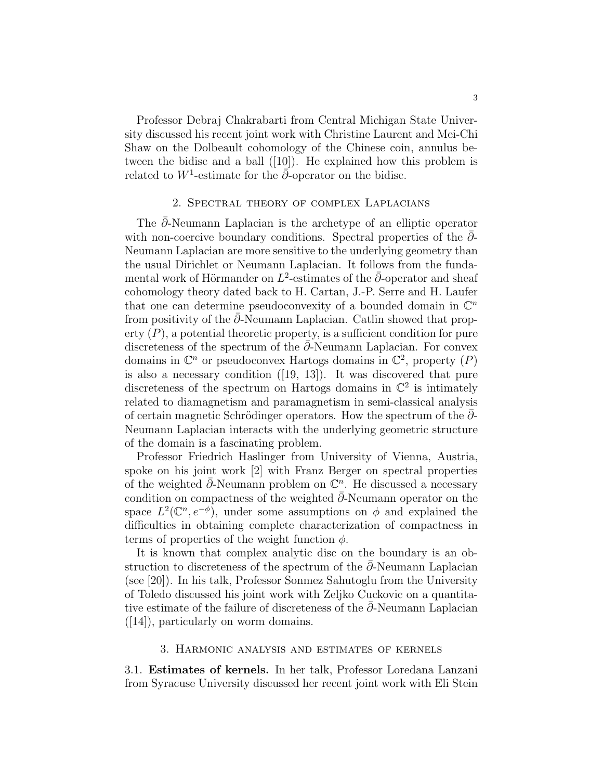Professor Debraj Chakrabarti from Central Michigan State University discussed his recent joint work with Christine Laurent and Mei-Chi Shaw on the Dolbeault cohomology of the Chinese coin, annulus between the bidisc and a ball ([10]). He explained how this problem is related to  $W^1$ -estimate for the  $\overline{\partial}$ -operator on the bidisc.

#### 2. Spectral theory of complex Laplacians

The  $\bar{\partial}$ -Neumann Laplacian is the archetype of an elliptic operator with non-coercive boundary conditions. Spectral properties of the  $\partial$ -Neumann Laplacian are more sensitive to the underlying geometry than the usual Dirichlet or Neumann Laplacian. It follows from the fundamental work of Hörmander on  $L^2$ -estimates of the  $\bar{\partial}$ -operator and sheaf cohomology theory dated back to H. Cartan, J.-P. Serre and H. Laufer that one can determine pseudoconvexity of a bounded domain in  $\mathbb{C}^n$ from positivity of the  $\partial$ -Neumann Laplacian. Catlin showed that property  $(P)$ , a potential theoretic property, is a sufficient condition for pure discreteness of the spectrum of the  $\partial$ -Neumann Laplacian. For convex domains in  $\mathbb{C}^n$  or pseudoconvex Hartogs domains in  $\mathbb{C}^2$ , property  $(P)$ is also a necessary condition ([19, 13]). It was discovered that pure discreteness of the spectrum on Hartogs domains in  $\mathbb{C}^2$  is intimately related to diamagnetism and paramagnetism in semi-classical analysis of certain magnetic Schrödinger operators. How the spectrum of the  $\partial$ -Neumann Laplacian interacts with the underlying geometric structure of the domain is a fascinating problem.

Professor Friedrich Haslinger from University of Vienna, Austria, spoke on his joint work [2] with Franz Berger on spectral properties of the weighted  $\bar{\partial}$ -Neumann problem on  $\mathbb{C}^n$ . He discussed a necessary condition on compactness of the weighted  $\overline{\partial}$ -Neumann operator on the space  $L^2(\mathbb{C}^n, e^{-\phi})$ , under some assumptions on  $\phi$  and explained the difficulties in obtaining complete characterization of compactness in terms of properties of the weight function  $\phi$ .

It is known that complex analytic disc on the boundary is an obstruction to discreteness of the spectrum of the  $\partial$ -Neumann Laplacian (see [20]). In his talk, Professor Sonmez Sahutoglu from the University of Toledo discussed his joint work with Zeljko Cuckovic on a quantitative estimate of the failure of discreteness of the  $\partial$ -Neumann Laplacian ([14]), particularly on worm domains.

#### 3. Harmonic analysis and estimates of kernels

3.1. Estimates of kernels. In her talk, Professor Loredana Lanzani from Syracuse University discussed her recent joint work with Eli Stein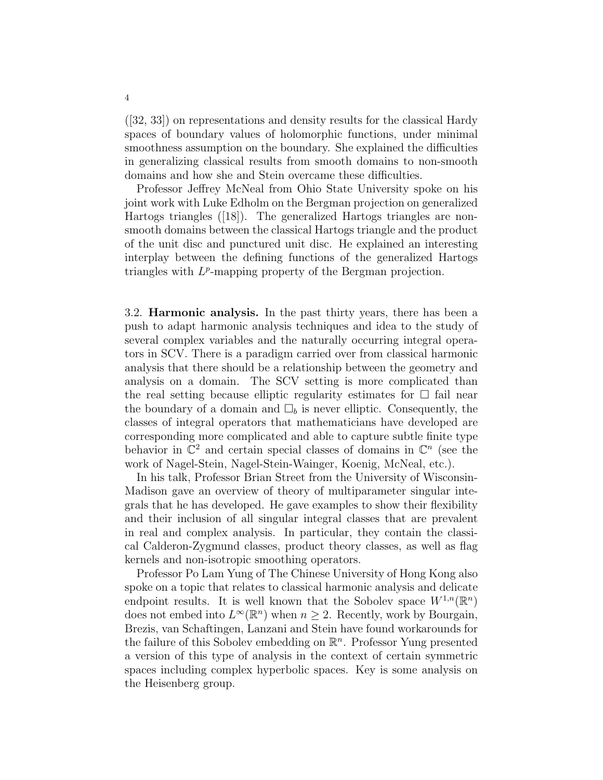([32, 33]) on representations and density results for the classical Hardy spaces of boundary values of holomorphic functions, under minimal smoothness assumption on the boundary. She explained the difficulties in generalizing classical results from smooth domains to non-smooth domains and how she and Stein overcame these difficulties.

Professor Jeffrey McNeal from Ohio State University spoke on his joint work with Luke Edholm on the Bergman projection on generalized Hartogs triangles ([18]). The generalized Hartogs triangles are nonsmooth domains between the classical Hartogs triangle and the product of the unit disc and punctured unit disc. He explained an interesting interplay between the defining functions of the generalized Hartogs triangles with  $L^p$ -mapping property of the Bergman projection.

3.2. Harmonic analysis. In the past thirty years, there has been a push to adapt harmonic analysis techniques and idea to the study of several complex variables and the naturally occurring integral operators in SCV. There is a paradigm carried over from classical harmonic analysis that there should be a relationship between the geometry and analysis on a domain. The SCV setting is more complicated than the real setting because elliptic regularity estimates for  $\Box$  fail near the boundary of a domain and  $\Box_b$  is never elliptic. Consequently, the classes of integral operators that mathematicians have developed are corresponding more complicated and able to capture subtle finite type behavior in  $\mathbb{C}^2$  and certain special classes of domains in  $\mathbb{C}^n$  (see the work of Nagel-Stein, Nagel-Stein-Wainger, Koenig, McNeal, etc.).

In his talk, Professor Brian Street from the University of Wisconsin-Madison gave an overview of theory of multiparameter singular integrals that he has developed. He gave examples to show their flexibility and their inclusion of all singular integral classes that are prevalent in real and complex analysis. In particular, they contain the classical Calderon-Zygmund classes, product theory classes, as well as flag kernels and non-isotropic smoothing operators.

Professor Po Lam Yung of The Chinese University of Hong Kong also spoke on a topic that relates to classical harmonic analysis and delicate endpoint results. It is well known that the Sobolev space  $W^{1,n}(\mathbb{R}^n)$ does not embed into  $L^{\infty}(\mathbb{R}^n)$  when  $n \geq 2$ . Recently, work by Bourgain, Brezis, van Schaftingen, Lanzani and Stein have found workarounds for the failure of this Sobolev embedding on  $\mathbb{R}^n$ . Professor Yung presented a version of this type of analysis in the context of certain symmetric spaces including complex hyperbolic spaces. Key is some analysis on the Heisenberg group.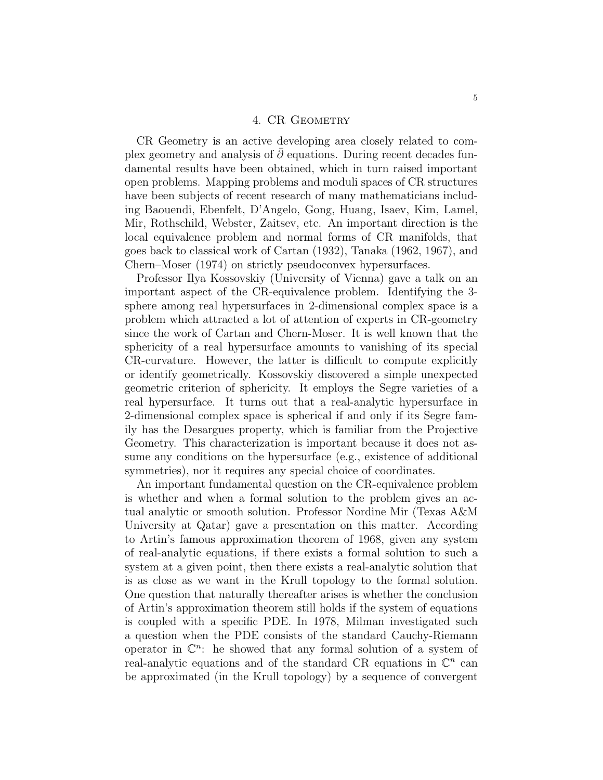#### 4. CR GEOMETRY

CR Geometry is an active developing area closely related to complex geometry and analysis of  $\partial$  equations. During recent decades fundamental results have been obtained, which in turn raised important open problems. Mapping problems and moduli spaces of CR structures have been subjects of recent research of many mathematicians including Baouendi, Ebenfelt, D'Angelo, Gong, Huang, Isaev, Kim, Lamel, Mir, Rothschild, Webster, Zaitsev, etc. An important direction is the local equivalence problem and normal forms of CR manifolds, that goes back to classical work of Cartan (1932), Tanaka (1962, 1967), and Chern–Moser (1974) on strictly pseudoconvex hypersurfaces.

Professor Ilya Kossovskiy (University of Vienna) gave a talk on an important aspect of the CR-equivalence problem. Identifying the 3 sphere among real hypersurfaces in 2-dimensional complex space is a problem which attracted a lot of attention of experts in CR-geometry since the work of Cartan and Chern-Moser. It is well known that the sphericity of a real hypersurface amounts to vanishing of its special CR-curvature. However, the latter is difficult to compute explicitly or identify geometrically. Kossovskiy discovered a simple unexpected geometric criterion of sphericity. It employs the Segre varieties of a real hypersurface. It turns out that a real-analytic hypersurface in 2-dimensional complex space is spherical if and only if its Segre family has the Desargues property, which is familiar from the Projective Geometry. This characterization is important because it does not assume any conditions on the hypersurface (e.g., existence of additional symmetries), nor it requires any special choice of coordinates.

An important fundamental question on the CR-equivalence problem is whether and when a formal solution to the problem gives an actual analytic or smooth solution. Professor Nordine Mir (Texas A&M University at Qatar) gave a presentation on this matter. According to Artin's famous approximation theorem of 1968, given any system of real-analytic equations, if there exists a formal solution to such a system at a given point, then there exists a real-analytic solution that is as close as we want in the Krull topology to the formal solution. One question that naturally thereafter arises is whether the conclusion of Artin's approximation theorem still holds if the system of equations is coupled with a specific PDE. In 1978, Milman investigated such a question when the PDE consists of the standard Cauchy-Riemann operator in  $\mathbb{C}^n$ : he showed that any formal solution of a system of real-analytic equations and of the standard CR equations in  $\mathbb{C}^n$  can be approximated (in the Krull topology) by a sequence of convergent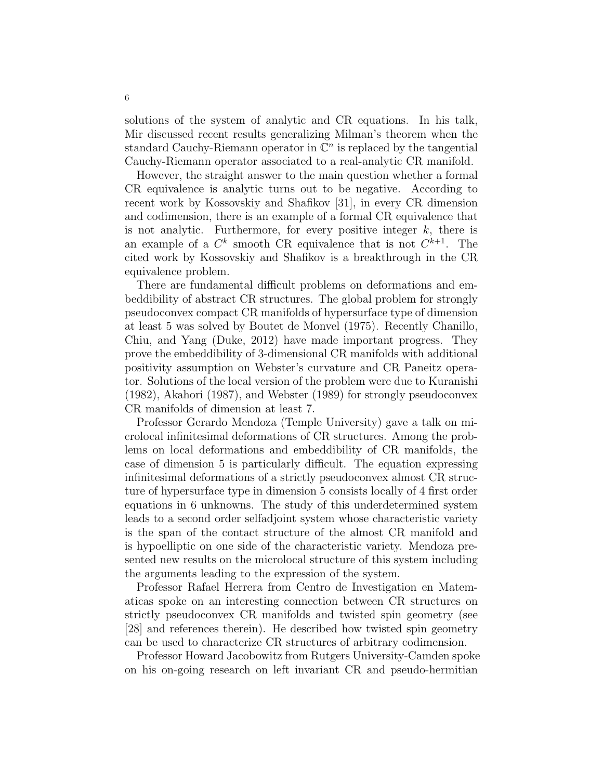solutions of the system of analytic and CR equations. In his talk, Mir discussed recent results generalizing Milman's theorem when the standard Cauchy-Riemann operator in  $\mathbb{C}^n$  is replaced by the tangential Cauchy-Riemann operator associated to a real-analytic CR manifold.

However, the straight answer to the main question whether a formal CR equivalence is analytic turns out to be negative. According to recent work by Kossovskiy and Shafikov [31], in every CR dimension and codimension, there is an example of a formal CR equivalence that is not analytic. Furthermore, for every positive integer  $k$ , there is an example of a  $C^k$  smooth CR equivalence that is not  $C^{k+1}$ . The cited work by Kossovskiy and Shafikov is a breakthrough in the CR equivalence problem.

There are fundamental difficult problems on deformations and embeddibility of abstract CR structures. The global problem for strongly pseudoconvex compact CR manifolds of hypersurface type of dimension at least 5 was solved by Boutet de Monvel (1975). Recently Chanillo, Chiu, and Yang (Duke, 2012) have made important progress. They prove the embeddibility of 3-dimensional CR manifolds with additional positivity assumption on Webster's curvature and CR Paneitz operator. Solutions of the local version of the problem were due to Kuranishi (1982), Akahori (1987), and Webster (1989) for strongly pseudoconvex CR manifolds of dimension at least 7.

Professor Gerardo Mendoza (Temple University) gave a talk on microlocal infinitesimal deformations of CR structures. Among the problems on local deformations and embeddibility of CR manifolds, the case of dimension 5 is particularly difficult. The equation expressing infinitesimal deformations of a strictly pseudoconvex almost CR structure of hypersurface type in dimension 5 consists locally of 4 first order equations in 6 unknowns. The study of this underdetermined system leads to a second order selfadjoint system whose characteristic variety is the span of the contact structure of the almost CR manifold and is hypoelliptic on one side of the characteristic variety. Mendoza presented new results on the microlocal structure of this system including the arguments leading to the expression of the system.

Professor Rafael Herrera from Centro de Investigation en Matematicas spoke on an interesting connection between CR structures on strictly pseudoconvex CR manifolds and twisted spin geometry (see [28] and references therein). He described how twisted spin geometry can be used to characterize CR structures of arbitrary codimension.

Professor Howard Jacobowitz from Rutgers University-Camden spoke on his on-going research on left invariant CR and pseudo-hermitian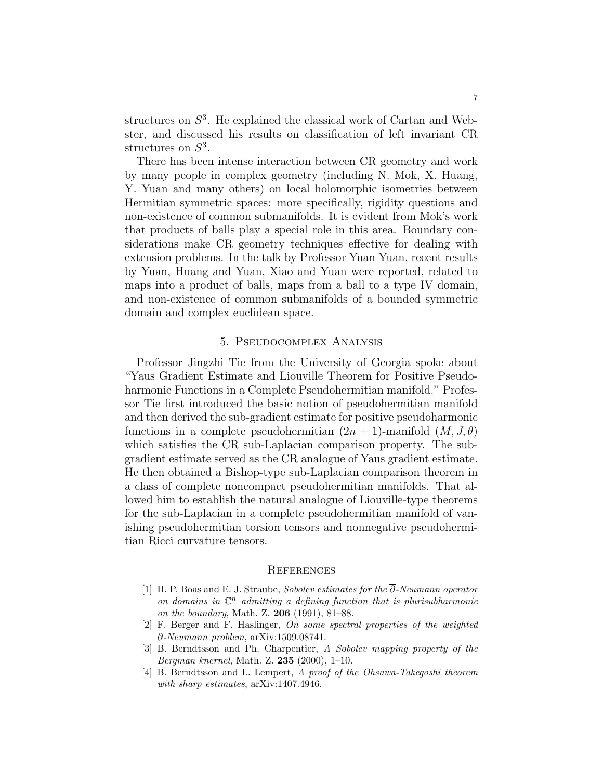structures on  $S<sup>3</sup>$ . He explained the classical work of Cartan and Webster, and discussed his results on classification of left invariant CR structures on  $S^3$ .

There has been intense interaction between CR geometry and work by many people in complex geometry (including N. Mok, X. Huang, Y. Yuan and many others) on local holomorphic isometries between Hermitian symmetric spaces: more specifically, rigidity questions and non-existence of common submanifolds. It is evident from Mok's work that products of balls play a special role in this area. Boundary considerations make CR geometry techniques effective for dealing with extension problems. In the talk by Professor Yuan Yuan, recent results by Yuan, Huang and Yuan, Xiao and Yuan were reported, related to maps into a product of balls, maps from a ball to a type IV domain, and non-existence of common submanifolds of a bounded symmetric domain and complex euclidean space.

### 5. Pseudocomplex Analysis

Professor Jingzhi Tie from the University of Georgia spoke about "Yaus Gradient Estimate and Liouville Theorem for Positive Pseudoharmonic Functions in a Complete Pseudohermitian manifold." Professor Tie first introduced the basic notion of pseudohermitian manifold and then derived the sub-gradient estimate for positive pseudoharmonic functions in a complete pseudohermitian  $(2n + 1)$ -manifold  $(M, J, \theta)$ which satisfies the CR sub-Laplacian comparison property. The subgradient estimate served as the CR analogue of Yaus gradient estimate. He then obtained a Bishop-type sub-Laplacian comparison theorem in a class of complete noncompact pseudohermitian manifolds. That allowed him to establish the natural analogue of Liouville-type theorems for the sub-Laplacian in a complete pseudohermitian manifold of vanishing pseudohermitian torsion tensors and nonnegative pseudohermitian Ricci curvature tensors.

#### **REFERENCES**

- [1] H. P. Boas and E. J. Straube, Sobolev estimates for the ∂-Neumann operator on domains in  $\mathbb{C}^n$  admitting a defining function that is plurisubharmonic on the boundary, Math. Z. 206 (1991), 81–88.
- [2] F. Berger and F. Haslinger, On some spectral properties of the weighted ∂-Neumann problem, arXiv:1509.08741.
- [3] B. Berndtsson and Ph. Charpentier, A Sobolev mapping property of the Bergman knernel, Math. Z. 235 (2000), 1–10.
- [4] B. Berndtsson and L. Lempert, A proof of the Ohsawa-Takegoshi theorem with sharp estimates, arXiv:1407.4946.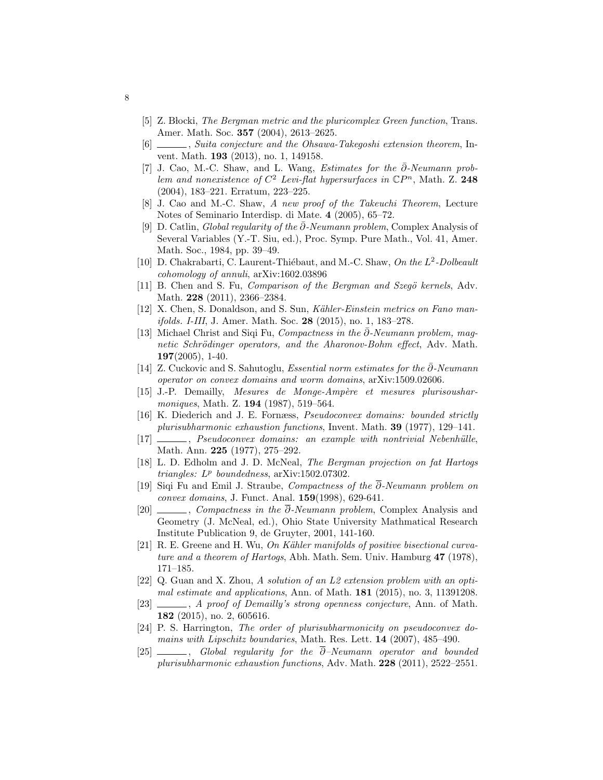- [5] Z. Blocki, The Bergman metric and the pluricomplex Green function, Trans. Amer. Math. Soc. 357 (2004), 2613–2625.
- [6]  $\_\_\_\_\$ gs Suita conjecture and the Ohsawa-Takegoshi extension theorem, Invent. Math. 193 (2013), no. 1, 149158.
- [7] J. Cao, M.-C. Shaw, and L. Wang, Estimates for the ∂-Neumann problem and nonexistence of  $C^2$  Levi-flat hypersurfaces in  $\mathbb{C}P^n$ , Math. Z. 248 (2004), 183–221. Erratum, 223–225.
- [8] J. Cao and M.-C. Shaw, A new proof of the Takeuchi Theorem, Lecture Notes of Seminario Interdisp. di Mate. 4 (2005), 65–72.
- [9] D. Catlin, Global regularity of the  $\bar{\partial}$ -Neumann problem, Complex Analysis of Several Variables (Y.-T. Siu, ed.), Proc. Symp. Pure Math., Vol. 41, Amer. Math. Soc., 1984, pp. 39–49.
- [10] D. Chakrabarti, C. Laurent-Thiébaut, and M.-C. Shaw, On the  $L^2$ -Dolbeault cohomology of annuli, arXiv:1602.03896
- [11] B. Chen and S. Fu, *Comparison of the Bergman and Szegö kernels*, Adv. Math. 228 (2011), 2366–2384.
- [12] X. Chen, S. Donaldson, and S. Sun, Kähler-Einstein metrics on Fano manifolds. I-III, J. Amer. Math. Soc. 28 (2015), no. 1, 183–278.
- [13] Michael Christ and Siqi Fu, Compactness in the ∂-Neumann problem, magnetic Schrödinger operators, and the Aharonov-Bohm effect, Adv. Math. 197(2005), 1-40.
- [14] Z. Cuckovic and S. Sahutoglu, Essential norm estimates for the ∂¯-Neumann operator on convex domains and worm domains, arXiv:1509.02606.
- [15] J.-P. Demailly, Mesures de Monge-Ampère et mesures plurisousharmoniques, Math. Z. **194** (1987), 519-564.
- [16] K. Diederich and J. E. Fornæss, Pseudoconvex domains: bounded strictly plurisubharmonic exhaustion functions, Invent. Math. 39 (1977), 129–141.
- [17] , Pseudoconvex domains: an example with nontrivial Nebenhülle, Math. Ann. 225 (1977), 275–292.
- [18] L. D. Edholm and J. D. McNeal, The Bergman projection on fat Hartogs  $triangles: L^p \; boundedness, \; \text{arXiv:1502.07302}.$
- [19] Siqi Fu and Emil J. Straube, Compactness of the ∂-Neumann problem on convex domains, J. Funct. Anal. 159(1998), 629-641.
- [20] , Compactness in the  $\overline{\partial}$ -Neumann problem, Complex Analysis and Geometry (J. McNeal, ed.), Ohio State University Mathmatical Research Institute Publication 9, de Gruyter, 2001, 141-160.
- [21] R. E. Greene and H. Wu, On Kähler manifolds of positive bisectional curvature and a theorem of Hartogs, Abh. Math. Sem. Univ. Hamburg 47 (1978), 171–185.
- [22] Q. Guan and X. Zhou, A solution of an L2 extension problem with an optimal estimate and applications, Ann. of Math.  $181$  (2015), no. 3, 11391208.
- [23]  $\_\_\_\_\_\_\$  A proof of Demailly's strong openness conjecture, Ann. of Math. 182 (2015), no. 2, 605616.
- [24] P. S. Harrington, The order of plurisubharmonicity on pseudoconvex domains with Lipschitz boundaries, Math. Res. Lett. 14 (2007), 485–490.
- $[25]$  , Global regularity for the  $\overline{\partial}$ -Neumann operator and bounded plurisubharmonic exhaustion functions, Adv. Math. 228 (2011), 2522–2551.